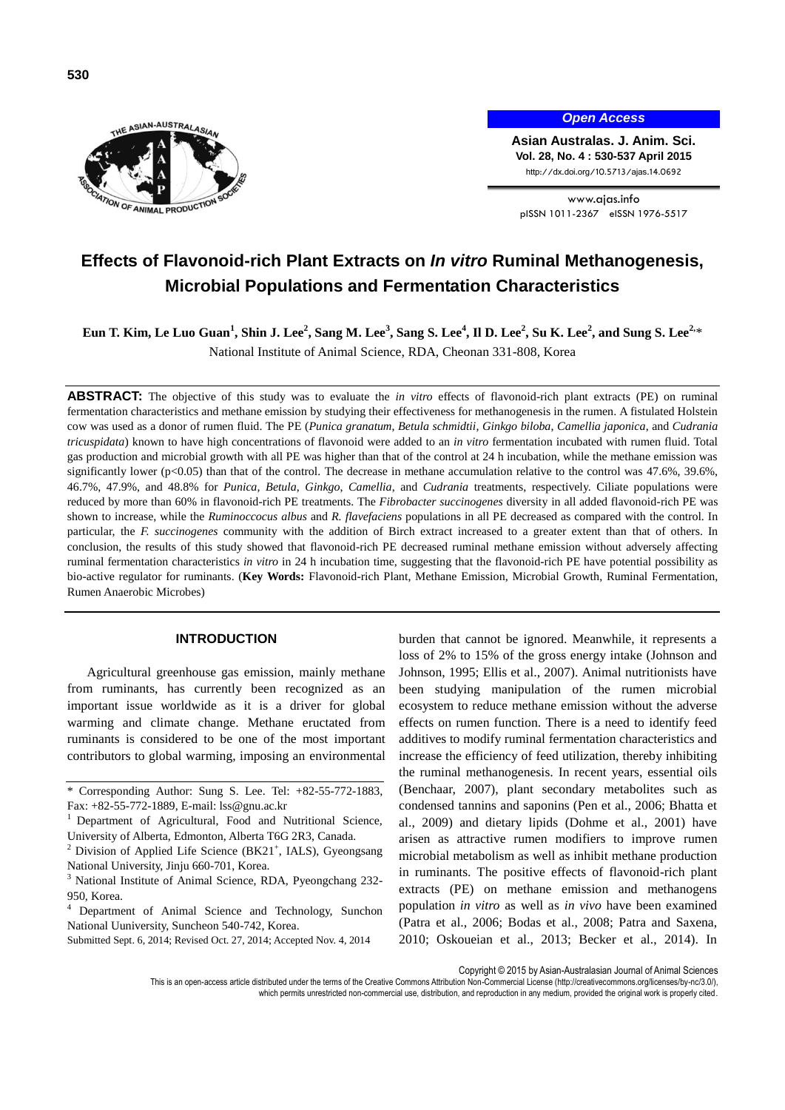



*Open Access*

**Asian Australas. J. Anim. Sci. Vol. 28, No. 4 : 530-537 April 2015** http://dx.doi.org/10.5713/ajas.14.0692

www.ajas.info pISSN 1011-2367 eISSN 1976-5517

# **Effects of Flavonoid-rich Plant Extracts on** *In vitro* **Ruminal Methanogenesis, Microbial Populations and Fermentation Characteristics**

**Eun T. Kim, Le Luo Guan<sup>1</sup> , Shin J. Lee<sup>2</sup> , Sang M. Lee<sup>3</sup> , Sang S. Lee<sup>4</sup> , Il D. Lee<sup>2</sup> , Su K. Lee<sup>2</sup> , and Sung S. Lee2,** \* National Institute of Animal Science, RDA, Cheonan 331-808, Korea

**ABSTRACT:** The objective of this study was to evaluate the *in vitro* effects of flavonoid-rich plant extracts (PE) on ruminal fermentation characteristics and methane emission by studying their effectiveness for methanogenesis in the rumen. A fistulated Holstein cow was used as a donor of rumen fluid. The PE (*Punica granatum*, *Betula schmidtii*, *Ginkgo biloba*, *Camellia japonica*, and *Cudrania tricuspidata*) known to have high concentrations of flavonoid were added to an *in vitro* fermentation incubated with rumen fluid. Total gas production and microbial growth with all PE was higher than that of the control at 24 h incubation, while the methane emission was significantly lower ( $p<0.05$ ) than that of the control. The decrease in methane accumulation relative to the control was 47.6%, 39.6%, 46.7%, 47.9%, and 48.8% for *Punica, Betula*, *Ginkgo*, *Camellia*, and *Cudrania* treatments, respectively. Ciliate populations were reduced by more than 60% in flavonoid-rich PE treatments. The *Fibrobacter succinogenes* diversity in all added flavonoid-rich PE was shown to increase, while the *Ruminoccocus albus* and *R. flavefaciens* populations in all PE decreased as compared with the control. In particular, the *F. succinogenes* community with the addition of Birch extract increased to a greater extent than that of others. In conclusion, the results of this study showed that flavonoid-rich PE decreased ruminal methane emission without adversely affecting ruminal fermentation characteristics *in vitro* in 24 h incubation time, suggesting that the flavonoid-rich PE have potential possibility as bio-active regulator for ruminants. (**Key Words:** Flavonoid-rich Plant, Methane Emission, Microbial Growth, Ruminal Fermentation, Rumen Anaerobic Microbes)

## **INTRODUCTION**

Agricultural greenhouse gas emission, mainly methane from ruminants, has currently been recognized as an important issue worldwide as it is a driver for global warming and climate change. Methane eructated from ruminants is considered to be one of the most important contributors to global warming, imposing an environmental

Submitted Sept. 6, 2014; Revised Oct. 27, 2014; Accepted Nov. 4, 2014

burden that cannot be ignored. Meanwhile, it represents a loss of 2% to 15% of the gross energy intake (Johnson and Johnson, 1995; Ellis et al., 2007). Animal nutritionists have been studying manipulation of the rumen microbial ecosystem to reduce methane emission without the adverse effects on rumen function. There is a need to identify feed additives to modify ruminal fermentation characteristics and increase the efficiency of feed utilization, thereby inhibiting the ruminal methanogenesis. In recent years, essential oils (Benchaar, 2007), plant secondary metabolites such as condensed tannins and saponins (Pen et al., 2006; Bhatta et al., 2009) and dietary lipids (Dohme et al., 2001) have arisen as attractive rumen modifiers to improve rumen microbial metabolism as well as inhibit methane production in ruminants. The positive effects of flavonoid-rich plant extracts (PE) on methane emission and methanogens population *in vitro* as well as *in vivo* have been examined (Patra et al., 2006; Bodas et al., 2008; Patra and Saxena, 2010; Oskoueian et al., 2013; Becker et al., 2014). In

Copyright © 2015 by Asian-Australasian Journal of Animal Sciences

This is an open-access article distributed under the terms of the Creative Commons Attribution Non-Commercial License [\(http://creativecommons.org/licenses/by-nc/3.0/\),](http://creativecommons.org/licenses/by-nc/3.0/)

which permits unrestricted non-commercial use, distribution, and reproduction in any medium, provided the original work is properly cited

<sup>\*</sup> Corresponding Author: Sung S. Lee. Tel: +82-55-772-1883, Fax: +82-55-772-1889, E-mail: lss@gnu.ac.kr

<sup>1</sup>Department of Agricultural, Food and Nutritional Science, University of Alberta, Edmonton, Alberta T6G 2R3, Canada.

 $2$  Division of Applied Life Science (BK21<sup>+</sup>, IALS), Gyeongsang National University, Jinju 660-701, Korea.

<sup>&</sup>lt;sup>3</sup> National Institute of Animal Science, RDA, Pyeongchang 232-950, Korea.

Department of Animal Science and Technology, Sunchon National Uuniversity, Suncheon 540-742, Korea.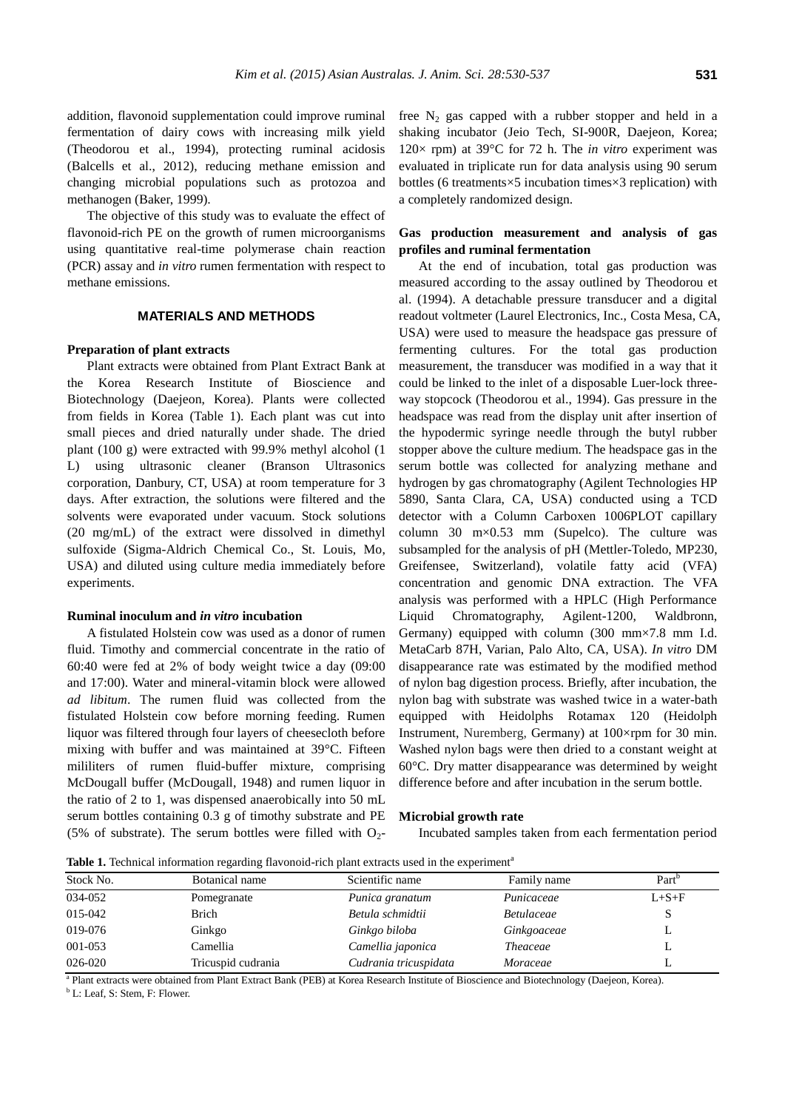addition, flavonoid supplementation could improve ruminal fermentation of dairy cows with increasing milk yield (Theodorou et al., 1994), protecting ruminal acidosis (Balcells et al., 2012), reducing methane emission and changing microbial populations such as protozoa and methanogen (Baker, 1999).

The objective of this study was to evaluate the effect of flavonoid-rich PE on the growth of rumen microorganisms using quantitative real-time polymerase chain reaction (PCR) assay and *in vitro* rumen fermentation with respect to methane emissions.

## **MATERIALS AND METHODS**

## **Preparation of plant extracts**

Plant extracts were obtained from Plant Extract Bank at the Korea Research Institute of Bioscience and Biotechnology (Daejeon, Korea). Plants were collected from fields in Korea (Table 1). Each plant was cut into small pieces and dried naturally under shade. The dried plant (100 g) were extracted with 99.9% methyl alcohol (1 L) using ultrasonic cleaner (Branson Ultrasonics corporation, Danbury, CT, USA) at room temperature for 3 days. After extraction, the solutions were filtered and the solvents were evaporated under vacuum. Stock solutions (20 mg/mL) of the extract were dissolved in dimethyl sulfoxide (Sigma-Aldrich Chemical Co., St. Louis, Mo, USA) and diluted using culture media immediately before experiments.

## **Ruminal inoculum and** *in vitro* **incubation**

A fistulated Holstein cow was used as a donor of rumen fluid. Timothy and commercial concentrate in the ratio of 60:40 were fed at 2% of body weight twice a day (09:00 and 17:00). Water and mineral-vitamin block were allowed *ad libitum*. The rumen fluid was collected from the fistulated Holstein cow before morning feeding. Rumen liquor was filtered through four layers of cheesecloth before mixing with buffer and was maintained at 39°C. Fifteen mililiters of rumen fluid-buffer mixture, comprising McDougall buffer (McDougall, 1948) and rumen liquor in the ratio of 2 to 1, was dispensed anaerobically into 50 mL serum bottles containing 0.3 g of timothy substrate and PE (5% of substrate). The serum bottles were filled with  $O_2$ - free  $N_2$  gas capped with a rubber stopper and held in a shaking incubator (Jeio Tech, SI-900R, Daejeon, Korea; 120× rpm) at 39°C for 72 h. The *in vitro* experiment was evaluated in triplicate run for data analysis using 90 serum bottles (6 treatments×5 incubation times×3 replication) with a completely randomized design.

# **Gas production measurement and analysis of gas profiles and ruminal fermentation**

At the end of incubation, total gas production was measured according to the assay outlined by Theodorou et al. (1994). A detachable pressure transducer and a digital readout voltmeter (Laurel Electronics, Inc., Costa Mesa, CA, USA) were used to measure the headspace gas pressure of fermenting cultures. For the total gas production measurement, the transducer was modified in a way that it could be linked to the inlet of a disposable Luer-lock threeway stopcock (Theodorou et al., 1994). Gas pressure in the headspace was read from the display unit after insertion of the hypodermic syringe needle through the butyl rubber stopper above the culture medium. The headspace gas in the serum bottle was collected for analyzing methane and hydrogen by gas chromatography (Agilent Technologies HP 5890, Santa Clara, CA, USA) conducted using a TCD detector with a Column Carboxen 1006PLOT capillary column 30 m×0.53 mm (Supelco). The culture was subsampled for the analysis of pH (Mettler-Toledo, MP230, Greifensee, Switzerland), volatile fatty acid (VFA) concentration and genomic DNA extraction. The VFA analysis was performed with a HPLC (High Performance Liquid Chromatography, Agilent-1200, Waldbronn, Germany) equipped with column (300 mm×7.8 mm I.d. MetaCarb 87H, Varian, Palo Alto, CA, USA). *In vitro* DM disappearance rate was estimated by the modified method of nylon bag digestion process. Briefly, after incubation, the nylon bag with substrate was washed twice in a water-bath equipped with Heidolphs Rotamax 120 (Heidolph Instrument, Nuremberg, Germany) at 100×rpm for 30 min. Washed nylon bags were then dried to a constant weight at 60°C. Dry matter disappearance was determined by weight difference before and after incubation in the serum bottle.

#### **Microbial growth rate**

Incubated samples taken from each fermentation period

**Table 1.** Technical information regarding flavonoid-rich plant extracts used in the experiment<sup>a</sup>

| Stock No. | Botanical name     | Scientific name       | Family name       | Part <sup>b</sup> |
|-----------|--------------------|-----------------------|-------------------|-------------------|
| 034-052   | Pomegranate        | Punica granatum       | Punicaceae        | $L + S + F$       |
| 015-042   | <b>Brich</b>       | Betula schmidtii      | <i>Betulaceae</i> |                   |
| 019-076   | Ginkgo             | Ginkgo biloba         | Ginkgoaceae       |                   |
| 001-053   | Camellia           | Camellia japonica     | <i>Theaceae</i>   |                   |
| 026-020   | Tricuspid cudrania | Cudrania tricuspidata | Moraceae          |                   |
|           |                    |                       |                   |                   |

a Plant extracts were obtained from Plant Extract Bank (PEB) at Korea Research Institute of Bioscience and Biotechnology (Daejeon, Korea).

<sup>b</sup> L: Leaf, S: Stem, F: Flower.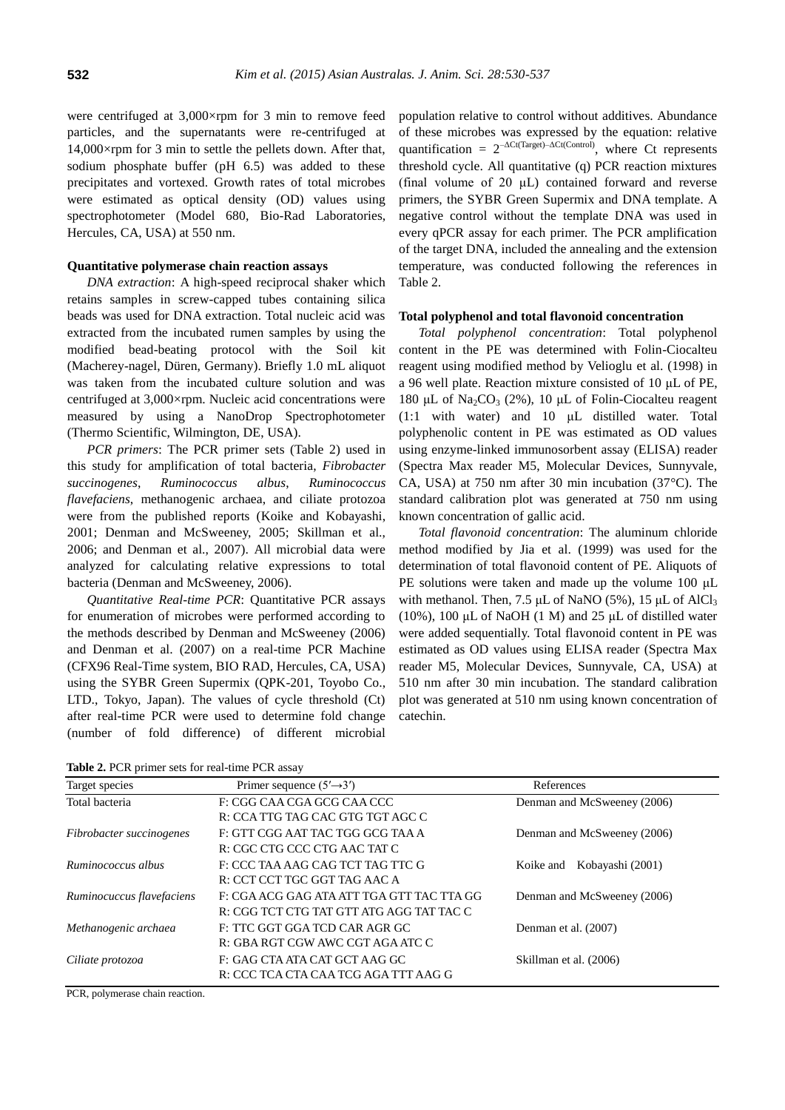were centrifuged at 3,000×rpm for 3 min to remove feed particles, and the supernatants were re-centrifuged at 14,000×rpm for 3 min to settle the pellets down. After that, sodium phosphate buffer (pH 6.5) was added to these precipitates and vortexed. Growth rates of total microbes were estimated as optical density (OD) values using spectrophotometer (Model 680, Bio-Rad Laboratories, Hercules, CA, USA) at 550 nm.

# **Quantitative polymerase chain reaction assays**

*DNA extraction*: A high-speed reciprocal shaker which retains samples in screw-capped tubes containing silica beads was used for DNA extraction. Total nucleic acid was extracted from the incubated rumen samples by using the modified bead-beating protocol with the Soil kit (Macherey-nagel, Düren, Germany). Briefly 1.0 mL aliquot was taken from the incubated culture solution and was centrifuged at 3,000×rpm. Nucleic acid concentrations were measured by using a NanoDrop Spectrophotometer (Thermo Scientific, Wilmington, DE, USA).

*PCR primers*: The PCR primer sets (Table 2) used in this study for amplification of total bacteria, *Fibrobacter succinogenes*, *Ruminococcus albus*, *Ruminococcus flavefaciens*, methanogenic archaea, and ciliate protozoa were from the published reports (Koike and Kobayashi, 2001; Denman and McSweeney, 2005; Skillman et al., 2006; and Denman et al., 2007). All microbial data were analyzed for calculating relative expressions to total bacteria (Denman and McSweeney, 2006).

*Quantitative Real-time PCR*: Quantitative PCR assays for enumeration of microbes were performed according to the methods described by Denman and McSweeney (2006) and Denman et al. (2007) on a real-time PCR Machine (CFX96 Real-Time system, BIO RAD, Hercules, CA, USA) using the SYBR Green Supermix (QPK-201, Toyobo Co., LTD., Tokyo, Japan). The values of cycle threshold (Ct) after real-time PCR were used to determine fold change (number of fold difference) of different microbial population relative to control without additives. Abundance of these microbes was expressed by the equation: relative quantification =  $2^{-\Delta Ct(Target)-\Delta Ct(Control)}$ , where Ct represents threshold cycle. All quantitative (q) PCR reaction mixtures (final volume of 20 μL) contained forward and reverse primers, the SYBR Green Supermix and DNA template. A negative control without the template DNA was used in every qPCR assay for each primer. The PCR amplification of the target DNA, included the annealing and the extension temperature, was conducted following the references in Table 2.

#### **Total polyphenol and total flavonoid concentration**

*Total polyphenol concentration*: Total polyphenol content in the PE was determined with Folin-Ciocalteu reagent using modified method by Velioglu et al. (1998) in a 96 well plate. Reaction mixture consisted of 10 μL of PE, 180 μL of Na<sub>2</sub>CO<sub>3</sub> (2%), 10 μL of Folin-Ciocalteu reagent (1:1 with water) and 10 μL distilled water. Total polyphenolic content in PE was estimated as OD values using enzyme-linked immunosorbent assay (ELISA) reader (Spectra Max reader M5, Molecular Devices, Sunnyvale, CA, USA) at 750 nm after 30 min incubation (37°C). The standard calibration plot was generated at 750 nm using known concentration of gallic acid.

*Total flavonoid concentration*: The aluminum chloride method modified by Jia et al. (1999) was used for the determination of total flavonoid content of PE. Aliquots of PE solutions were taken and made up the volume 100 μL with methanol. Then, 7.5 μL of NaNO (5%), 15 μL of AlCl<sub>3</sub> (10%), 100  $\mu$ L of NaOH (1 M) and 25  $\mu$ L of distilled water were added sequentially. Total flavonoid content in PE was estimated as OD values using ELISA reader (Spectra Max reader M5, Molecular Devices, Sunnyvale, CA, USA) at 510 nm after 30 min incubation. The standard calibration plot was generated at 510 nm using known concentration of catechin.

**Table 2.** PCR primer sets for real-time PCR assay

| <b>THERE EX</b> LOTS PLINIOUS TOT TOME MIND I CIN MISSALY |                                           |                               |  |
|-----------------------------------------------------------|-------------------------------------------|-------------------------------|--|
| Target species                                            | Primer sequence $(5' \rightarrow 3')$     | References                    |  |
| Total bacteria                                            | F: CGG CAA CGA GCG CAA CCC                | Denman and McSweeney (2006)   |  |
|                                                           | R: CCA TTG TAG CAC GTG TGT AGC C          |                               |  |
| Fibrobacter succinogenes                                  | F: GTT CGG AAT TAC TGG GCG TAA A          | Denman and McSweeney (2006)   |  |
|                                                           | R: CGC CTG CCC CTG AAC TAT C              |                               |  |
| Ruminococcus albus                                        | F: CCC TAA AAG CAG TCT TAG TTC G          | Kobayashi (2001)<br>Koike and |  |
|                                                           | R: CCT CCT TGC GGT TAG AAC A              |                               |  |
| Ruminocuccus flavefaciens                                 | F: CGA ACG GAG ATA ATT TGA GTT TAC TTA GG | Denman and McSweeney (2006)   |  |
|                                                           | R: CGG TCT CTG TAT GTT ATG AGG TAT TAC C  |                               |  |
| Methanogenic archaea                                      | F: TTC GGT GGA TCD CAR AGR GC             | Denman et al. (2007)          |  |
|                                                           | R: GBA RGT CGW AWC CGT AGA ATC C          |                               |  |
| Ciliate protozoa                                          | F: GAG CTA ATA CAT GCT AAG GC             | Skillman et al. (2006)        |  |
|                                                           | R: CCC TCA CTA CAA TCG AGA TTT AAG G      |                               |  |
|                                                           |                                           |                               |  |

PCR, polymerase chain reaction.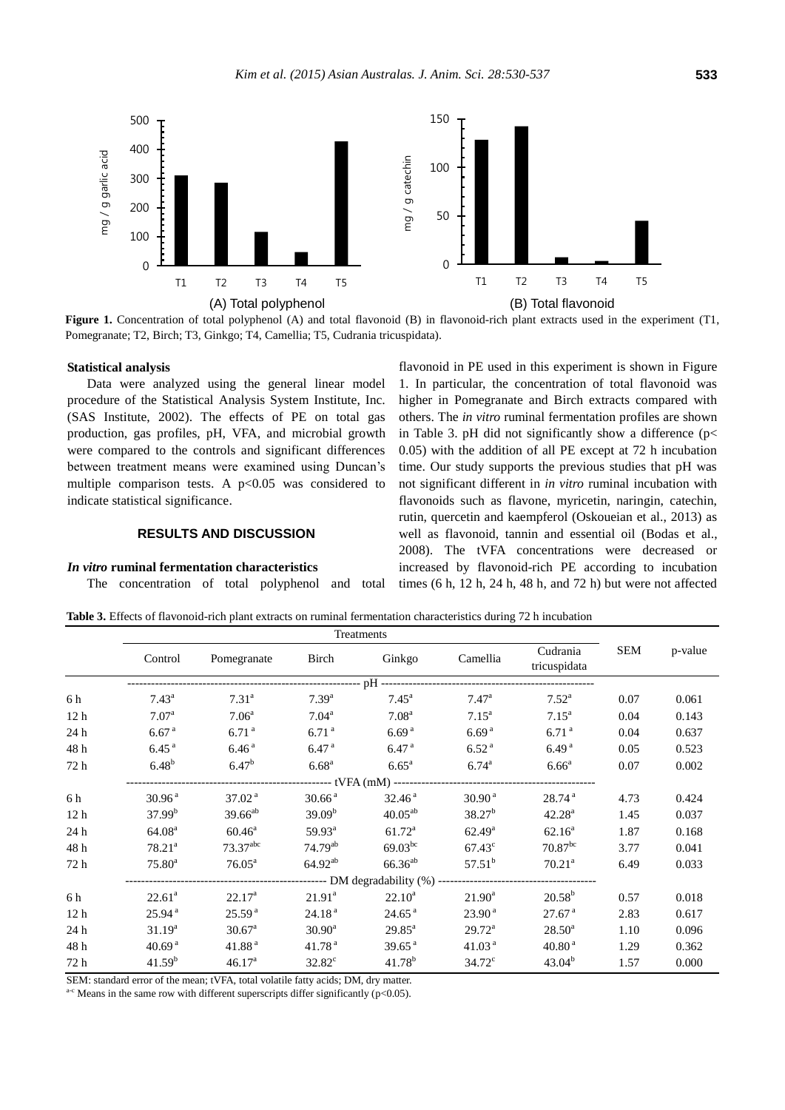

Figure 1. Concentration of total polyphenol (A) and total flavonoid (B) in flavonoid-rich plant extracts used in the experiment (T1, Pomegranate; T2, Birch; T3, Ginkgo; T4, Camellia; T5, Cudrania tricuspidata).

## **Statistical analysis**

Data were analyzed using the general linear model procedure of the Statistical Analysis System Institute, Inc. (SAS Institute, 2002). The effects of PE on total gas production, gas profiles, pH, VFA, and microbial growth were compared to the controls and significant differences between treatment means were examined using Duncan's multiple comparison tests. A  $p<0.05$  was considered to indicate statistical significance.

# **RESULTS AND DISCUSSION**

# *In vitro* **ruminal fermentation characteristics**

The concentration of total polyphenol and total

flavonoid in PE used in this experiment is shown in Figure 1. In particular, the concentration of total flavonoid was higher in Pomegranate and Birch extracts compared with others. The *in vitro* ruminal fermentation profiles are shown in Table 3. pH did not significantly show a difference ( $p$ < 0.05) with the addition of all PE except at 72 h incubation time. Our study supports the previous studies that pH was not significant different in *in vitro* ruminal incubation with flavonoids such as flavone, myricetin, naringin, catechin, rutin, quercetin and kaempferol (Oskoueian et al., 2013) as well as flavonoid, tannin and essential oil (Bodas et al., 2008). The tVFA concentrations were decreased or increased by flavonoid-rich PE according to incubation times (6 h, 12 h, 24 h, 48 h, and 72 h) but were not affected

**Table 3.** Effects of flavonoid-rich plant extracts on ruminal fermentation characteristics during 72 h incubation

|                 | Treatments         |                                                                                         |                    |                    |                    |                          |      |         |
|-----------------|--------------------|-----------------------------------------------------------------------------------------|--------------------|--------------------|--------------------|--------------------------|------|---------|
|                 | Control            | Pomegranate                                                                             | Birch              | Ginkgo             | Camellia           | Cudrania<br>tricuspidata | SEM  | p-value |
|                 |                    |                                                                                         |                    |                    |                    |                          |      |         |
| 6 h             | $7.43^{\rm a}$     | $7.31^{a}$                                                                              | $7.39^{a}$         | $7.45^{\circ}$     | $7.47^{\rm a}$     | $7.52^{\rm a}$           | 0.07 | 0.061   |
| 12 <sub>h</sub> | 7.07 <sup>a</sup>  | 7.06 <sup>a</sup>                                                                       | $7.04^{\rm a}$     | 7.08 <sup>a</sup>  | $7.15^{\rm a}$     | $7.15^{\rm a}$           | 0.04 | 0.143   |
| 24 h            | 6.67 <sup>a</sup>  | 6.71 <sup>a</sup>                                                                       | 6.71 <sup>a</sup>  | 6.69 <sup>a</sup>  | 6.69 <sup>a</sup>  | 6.71 <sup>a</sup>        | 0.04 | 0.637   |
| 48 h            | 6.45 <sup>a</sup>  | 6.46 <sup>a</sup>                                                                       | 6.47 <sup>a</sup>  | 6.47 <sup>a</sup>  | 6.52 <sup>a</sup>  | 6.49 <sup>a</sup>        | 0.05 | 0.523   |
| 72 h            | $6.48^{b}$         | 6.47 <sup>b</sup>                                                                       | $6.68^{a}$         | 6.65 <sup>a</sup>  | $6.74^{\rm a}$     | 6.66 <sup>a</sup>        | 0.07 | 0.002   |
|                 |                    |                                                                                         |                    |                    |                    |                          |      |         |
| 6 h             | 30.96 <sup>a</sup> | 37.02 <sup>a</sup>                                                                      | 30.66 <sup>a</sup> | 32.46 <sup>a</sup> | 30.90 <sup>a</sup> | 28.74 <sup>a</sup>       | 4.73 | 0.424   |
| 12 <sub>h</sub> | 37.99 <sup>b</sup> | $39.66^{ab}$                                                                            | 39.09 <sup>b</sup> | $40.05^{ab}$       | $38.27^{b}$        | 42.28 <sup>a</sup>       | 1.45 | 0.037   |
| 24 h            | 64.08 <sup>a</sup> | $60.46^{\circ}$                                                                         | $59.93^{\circ}$    | $61.72^{\rm a}$    | $62.49^{\rm a}$    | $62.16^a$                | 1.87 | 0.168   |
| 48 h            | $78.21^a$          | $73.37$ <sup>abc</sup>                                                                  | $74.79^{ab}$       | $69.03^{bc}$       | $67.43^{\circ}$    | $70.87^{bc}$             | 3.77 | 0.041   |
| 72 h            | $75.80^{\rm a}$    | $76.05^{\text{a}}$                                                                      | $64.92^{ab}$       | $66.36^{ab}$       | $57.51^b$          | 70.21 <sup>a</sup>       | 6.49 | 0.033   |
|                 |                    | ---------------------------------- DM degradability (%) ------------------------------- |                    |                    |                    |                          |      |         |
| 6 h             | $22.61^a$          | $22.17^{\rm a}$                                                                         | $21.91^a$          | $22.10^a$          | $21.90^{\rm a}$    | $20.58^{b}$              | 0.57 | 0.018   |
| 12 <sub>h</sub> | 25.94 <sup>a</sup> | 25.59 <sup>a</sup>                                                                      | 24.18 <sup>a</sup> | 24.65 <sup>a</sup> | 23.90 <sup>a</sup> | 27.67 <sup>a</sup>       | 2.83 | 0.617   |
| 24 h            | $31.19^{a}$        | 30.67 <sup>a</sup>                                                                      | $30.90^{\rm a}$    | $29.85^{\text{a}}$ | $29.72^a$          | $28.50^{\rm a}$          | 1.10 | 0.096   |
| 48 h            | 40.69 <sup>a</sup> | 41.88 <sup>a</sup>                                                                      | 41.78 <sup>a</sup> | 39.65 <sup>a</sup> | 41.03 <sup>a</sup> | 40.80 <sup>a</sup>       | 1.29 | 0.362   |
| 72 h            | 41.59 <sup>b</sup> | 46.17 <sup>a</sup>                                                                      | $32.82^{\circ}$    | $41.78^b$          | $34.72^{\circ}$    | $43.04^{b}$              | 1.57 | 0.000   |

SEM: standard error of the mean; tVFA, total volatile fatty acids; DM, dry matter.

 $a-c$  Means in the same row with different superscripts differ significantly (p<0.05).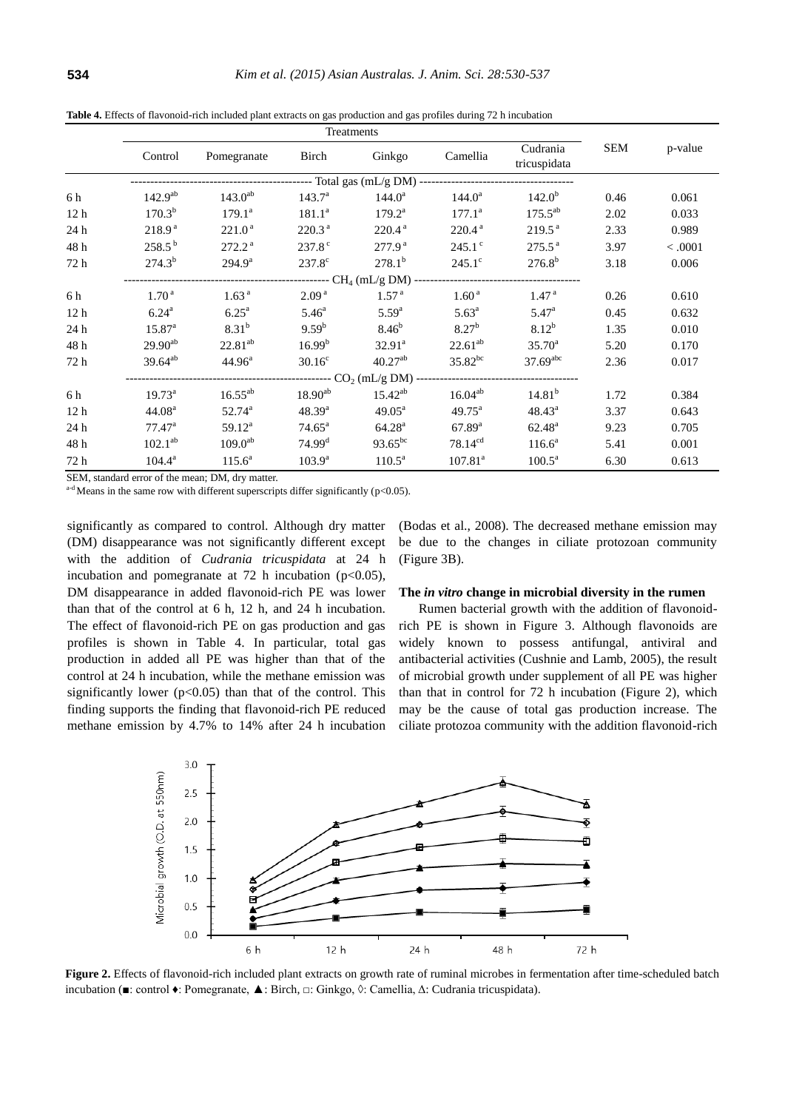|                 | Treatments         |                    |                      |                                                         |                     |                          |      |         |
|-----------------|--------------------|--------------------|----------------------|---------------------------------------------------------|---------------------|--------------------------|------|---------|
|                 | Control            | Pomegranate        | Birch                | Ginkgo                                                  | Camellia            | Cudrania<br>tricuspidata | SEM  | p-value |
|                 |                    |                    |                      |                                                         |                     |                          |      |         |
| 6 h             | $142.9^{ab}$       | $143.0^{ab}$       | 143.7 <sup>a</sup>   | $144.0^a$                                               | $144.0^a$           | $142.0^{b}$              | 0.46 | 0.061   |
| 12 <sub>h</sub> | $170.3^{b}$        | $179.1^a$          | $181.1^a$            | $179.2^{\rm a}$                                         | $177.1^{\rm a}$     | $175.5^{ab}$             | 2.02 | 0.033   |
| 24 h            | 218.9 <sup>a</sup> | 221.0 <sup>a</sup> | 220.3 <sup>a</sup>   | 220.4 <sup>a</sup>                                      | 220.4 <sup>a</sup>  | 219.5 <sup>a</sup>       | 2.33 | 0.989   |
| 48 h            | $258.5^{b}$        | $272.2^{\text{a}}$ | $237.8^{\circ}$      | 277.9 <sup>a</sup>                                      | $245.1^{\circ}$     | $275.5^{\text{a}}$       | 3.97 | < .0001 |
| 72 h            | $274.3^{b}$        | $294.9^{\rm a}$    | $237.8^{\circ}$      | $278.1^{b}$                                             | $245.1^{\circ}$     | $276.8^{b}$              | 3.18 | 0.006   |
|                 |                    |                    |                      |                                                         |                     |                          |      |         |
| 6 h             | 1.70 <sup>a</sup>  | 1.63 <sup>a</sup>  | 2.09 <sup>a</sup>    | 1.57 <sup>a</sup>                                       | 1.60 <sup>a</sup>   | 1.47 <sup>a</sup>        | 0.26 | 0.610   |
| 12 <sub>h</sub> | $6.24^{\rm a}$     | 6.25 <sup>a</sup>  | $5.46^{\circ}$       | $5.59^{a}$                                              | $5.63^{\rm a}$      | $5.47^{\rm a}$           | 0.45 | 0.632   |
| 24 h            | $15.87^{a}$        | $8.31^{b}$         | 9.59 <sup>b</sup>    | $8.46^{b}$                                              | $8.27^{b}$          | $8.12^{b}$               | 1.35 | 0.010   |
| 48 h            | $29.90^{ab}$       | $22.81^{ab}$       | 16.99 <sup>b</sup>   | $32.91^a$                                               | $22.61^{ab}$        | $35.70^{\circ}$          | 5.20 | 0.170   |
| 72 h            | $39.64^{ab}$       | $44.96^{\circ}$    | $30.16^{\circ}$      | $40.27^{ab}$                                            | $35.82^{bc}$        | $37.69$ <sup>abc</sup>   | 2.36 | 0.017   |
|                 |                    |                    |                      | ---------- CO <sub>2</sub> (mL/g DM) ------------------ |                     |                          |      |         |
| 6 h             | $19.73^{\circ}$    | $16.55^{ab}$       | $18.90^{ab}$         | $15.42^{ab}$                                            | $16.04^{ab}$        | 14.81 <sup>b</sup>       | 1.72 | 0.384   |
| 12 <sub>h</sub> | 44.08 <sup>a</sup> | $52.74^{\circ}$    | $48.39^{a}$          | $49.05^{\text{a}}$                                      | $49.75^{\text{a}}$  | $48.43^{\circ}$          | 3.37 | 0.643   |
| 24 h            | $77.47^{\rm a}$    | $59.12^a$          | $74.65^{\circ}$      | 64.28 <sup>a</sup>                                      | $67.89^{a}$         | $62.48^{\rm a}$          | 9.23 | 0.705   |
| 48 h            | $102.1^{ab}$       | $109.0^{ab}$       | $74.99$ <sup>d</sup> | $93.65^{bc}$                                            | $78.14^{cd}$        | $116.6^a$                | 5.41 | 0.001   |
| 72 h            | $104.4^a$          | $115.6^a$          | $103.9^{\rm a}$      | $110.5^{\text{a}}$                                      | 107.81 <sup>a</sup> | $100.5^{\text{a}}$       | 6.30 | 0.613   |

**Table 4.** Effects of flavonoid-rich included plant extracts on gas production and gas profiles during 72 h incubation

SEM, standard error of the mean; DM, dry matter.

 $a-d$  Means in the same row with different superscripts differ significantly (p<0.05).

significantly as compared to control. Although dry matter (DM) disappearance was not significantly different except with the addition of *Cudrania tricuspidata* at 24 h incubation and pomegranate at 72 h incubation ( $p<0.05$ ), DM disappearance in added flavonoid-rich PE was lower than that of the control at 6 h, 12 h, and 24 h incubation. The effect of flavonoid-rich PE on gas production and gas profiles is shown in Table 4. In particular, total gas production in added all PE was higher than that of the control at 24 h incubation, while the methane emission was significantly lower ( $p<0.05$ ) than that of the control. This finding supports the finding that flavonoid-rich PE reduced methane emission by 4.7% to 14% after 24 h incubation

(Bodas et al., 2008). The decreased methane emission may be due to the changes in ciliate protozoan community (Figure 3B).

## **The** *in vitro* **change in microbial diversity in the rumen**

Rumen bacterial growth with the addition of flavonoidrich PE is shown in Figure 3. Although flavonoids are widely known to possess antifungal, antiviral and antibacterial activities (Cushnie and Lamb, 2005), the result of microbial growth under supplement of all PE was higher than that in control for 72 h incubation (Figure 2), which may be the cause of total gas production increase. The ciliate protozoa community with the addition flavonoid-rich



**Figure 2.** Effects of flavonoid-rich included plant extracts on growth rate of ruminal microbes in fermentation after time-scheduled batch incubation (■: control ♦: Pomegranate, ▲: Birch, □: Ginkgo, ◊: Camellia, Δ: Cudrania tricuspidata).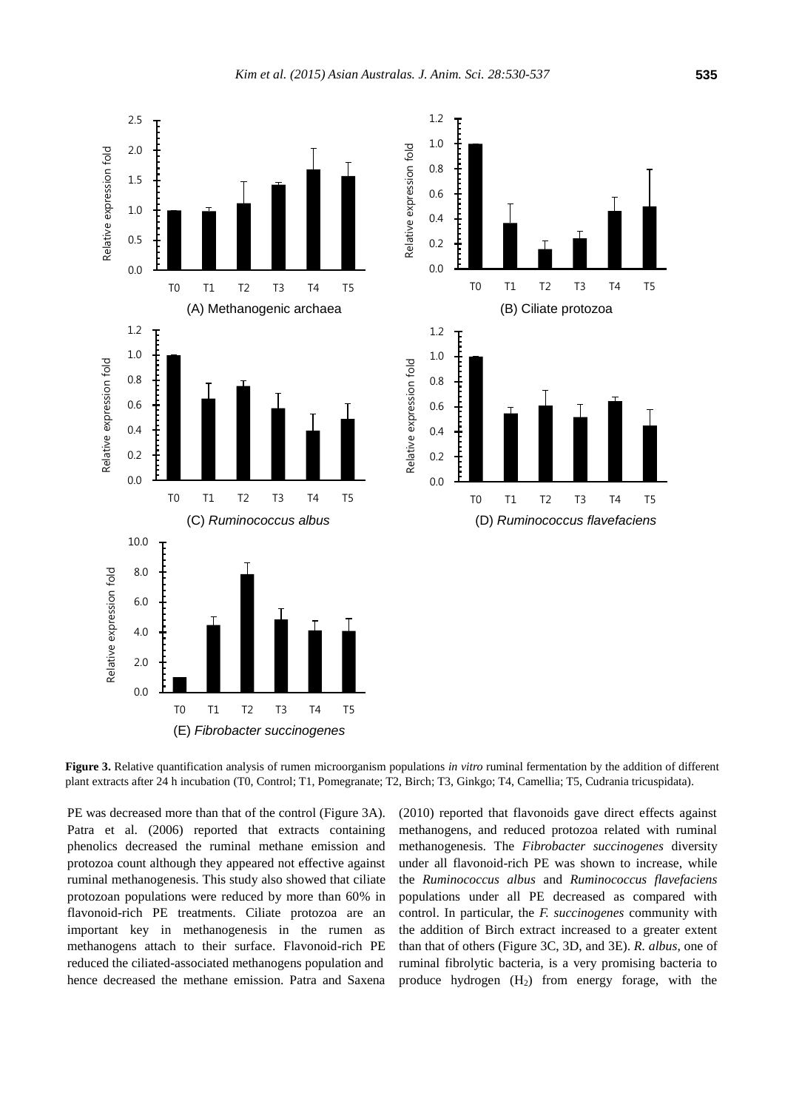



**Figure 3.** Relative quantification analysis of rumen microorganism populations *in vitro* ruminal fermentation by the addition of different plant extracts after 24 h incubation (T0, Control; T1, Pomegranate; T2, Birch; T3, Ginkgo; T4, Camellia; T5, Cudrania tricuspidata).

PE was decreased more than that of the control (Figure 3A). Patra et al. (2006) reported that extracts containing phenolics decreased the ruminal methane emission and protozoa count although they appeared not effective against ruminal methanogenesis. This study also showed that ciliate protozoan populations were reduced by more than 60% in flavonoid-rich PE treatments. Ciliate protozoa are an important key in methanogenesis in the rumen as methanogens attach to their surface. Flavonoid-rich PE reduced the ciliated-associated methanogens population and hence decreased the methane emission. Patra and Saxena

(2010) reported that flavonoids gave direct effects against methanogens, and reduced protozoa related with ruminal methanogenesis. The *Fibrobacter succinogenes* diversity under all flavonoid-rich PE was shown to increase, while the *Ruminococcus albus* and *Ruminococcus flavefaciens* populations under all PE decreased as compared with control. In particular, the *F. succinogenes* community with the addition of Birch extract increased to a greater extent than that of others (Figure 3C, 3D, and 3E). *R. albus*, one of ruminal fibrolytic bacteria, is a very promising bacteria to produce hydrogen  $(H<sub>2</sub>)$  from energy forage, with the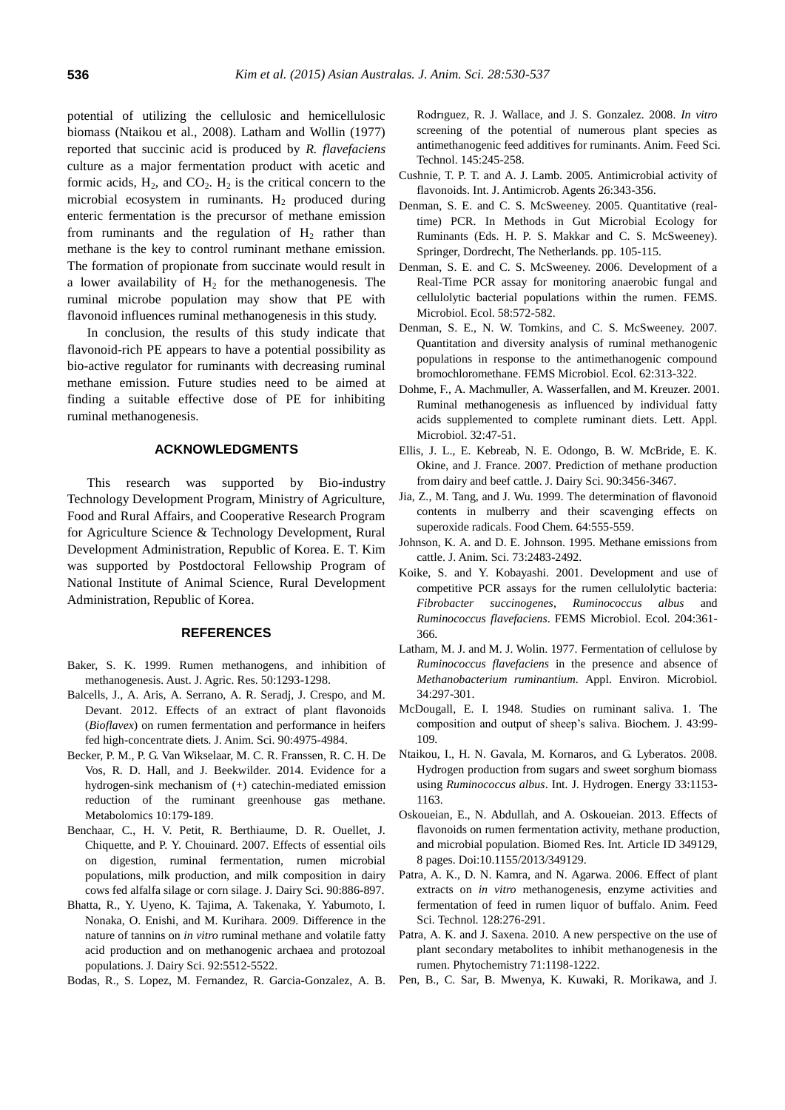potential of utilizing the cellulosic and hemicellulosic biomass (Ntaikou et al., 2008). Latham and Wollin (1977) reported that succinic acid is produced by *R. flavefaciens*  culture as a major fermentation product with acetic and formic acids,  $H_2$ , and  $CO_2$ .  $H_2$  is the critical concern to the microbial ecosystem in ruminants.  $H_2$  produced during enteric fermentation is the precursor of methane emission from ruminants and the regulation of  $H_2$  rather than methane is the key to control ruminant methane emission. The formation of propionate from succinate would result in a lower availability of  $H_2$  for the methanogenesis. The ruminal microbe population may show that PE with flavonoid influences ruminal methanogenesis in this study.

In conclusion, the results of this study indicate that flavonoid-rich PE appears to have a potential possibility as bio-active regulator for ruminants with decreasing ruminal methane emission. Future studies need to be aimed at finding a suitable effective dose of PE for inhibiting ruminal methanogenesis.

## **ACKNOWLEDGMENTS**

This research was supported by Bio-industry Technology Development Program, Ministry of Agriculture, Food and Rural Affairs, and Cooperative Research Program for Agriculture Science & Technology Development, Rural Development Administration, Republic of Korea. E. T. Kim was supported by Postdoctoral Fellowship Program of National Institute of Animal Science, Rural Development Administration, Republic of Korea.

# **REFERENCES**

- Baker, S. K. 1999. [Rumen methanogens, and inhibition of](http://www.publish.csiro.au/paper/AR99005)  [methanogenesis.](http://www.publish.csiro.au/paper/AR99005) Aust. J. Agric. Res. 50:1293-1298.
- Balcells, J., A. Aris, A. Serrano, A. R. Seradj, J. Crespo, and M. Devant. 2012. [Effects of an extract of plant flavonoids](http://www.journalofanimalscience.org/content/90/13/4975.short)  (*Bioflavex*[\) on rumen fermentation and performance in heifers](http://www.journalofanimalscience.org/content/90/13/4975.short)  [fed high-concentrate diets](http://www.journalofanimalscience.org/content/90/13/4975.short)*.* J. Anim. Sci. 90:4975-4984.
- Becker, P. M., P. G. Van Wikselaar, M. C. R. Franssen, R. C. H. De Vos, R. D. Hall, and J. Beekwilder. 2014. [Evidence for a](http://link.springer.com/article/10.1007/s11306-013-0554-5)  [hydrogen-sink mechanism of \(+\) catechin-mediated emission](http://link.springer.com/article/10.1007/s11306-013-0554-5)  [reduction of the ruminant greenhouse gas methane.](http://link.springer.com/article/10.1007/s11306-013-0554-5)  Metabolomics 10:179-189.
- Benchaar, C., H. V. Petit, R. Berthiaume, D. R. Ouellet, J. Chiquette, and P. Y. Chouinard. 2007. [Effects of essential oils](http://www.journalofdairyscience.org/article/S0022-0302(07)71572-2/abstract)  [on digestion, ruminal fermentation, rumen microbial](http://www.journalofdairyscience.org/article/S0022-0302(07)71572-2/abstract)  [populations, milk production, and milk composition in dairy](http://www.journalofdairyscience.org/article/S0022-0302(07)71572-2/abstract)  [cows fed alfalfa silage or corn silage.](http://www.journalofdairyscience.org/article/S0022-0302(07)71572-2/abstract) J. Dairy Sci. 90:886-897.
- Bhatta, R., Y. Uyeno, K. Tajima, A. Takenaka, Y. Yabumoto, I. Nonaka, O. Enishi, and M. Kurihara. 2009. [Difference in the](http://www.sciencedirect.com/science/article/pii/S0022030209708860)  nature of tannins on *in vitro* [ruminal methane and volatile fatty](http://www.sciencedirect.com/science/article/pii/S0022030209708860)  [acid production and on methanogenic archaea and protozoal](http://www.sciencedirect.com/science/article/pii/S0022030209708860)  [populations.](http://www.sciencedirect.com/science/article/pii/S0022030209708860) J. Dairy Sci. 92:5512-5522.
- Bodas, R., S. Lopez, M. Fernandez, R. Garcia-Gonzalez, A. B.

Rodrıguez, R. J. Wallace, and J. S. Gonzalez. 2008. *[In vitro](http://www.sciencedirect.com/science/article/pii/S0377840107002763)* [screening of the potential of numerous plant species as](http://www.sciencedirect.com/science/article/pii/S0377840107002763)  [antimethanogenic feed additives for ruminants.](http://www.sciencedirect.com/science/article/pii/S0377840107002763) Anim. Feed Sci. Technol. 145:245-258.

- Cushnie, T. P. T. and A. J. Lamb. 2005. [Antimicrobial activity of](http://www.sciencedirect.com/science/article/pii/S0924857905002554)  [flavonoids.](http://www.sciencedirect.com/science/article/pii/S0924857905002554) Int. J. Antimicrob. Agents 26:343-356.
- Denman, S. E. and C. S. McSweeney. 2005. Quantitative (realtime) PCR. In Methods in Gut Microbial Ecology for Ruminants (Eds. H. P. S. Makkar and C. S. McSweeney). Springer, Dordrecht, The Netherlands. pp. 105-115.
- Denman, S. E. and C. S. McSweeney. 2006. [Development of a](http://onlinelibrary.wiley.com/doi/10.1111/j.1574-6941.2006.00190.x/full)  [Real-Time PCR assay for monitoring anaerobic fungal and](http://onlinelibrary.wiley.com/doi/10.1111/j.1574-6941.2006.00190.x/full)  [cellulolytic bacterial populations within the rumen.](http://onlinelibrary.wiley.com/doi/10.1111/j.1574-6941.2006.00190.x/full) FEMS. Microbiol. Ecol. 58:572-582.
- Denman, S. E., N. W. Tomkins, and C. S. McSweeney. 2007. [Quantitation and diversity analysis of ruminal methanogenic](http://onlinelibrary.wiley.com/doi/10.1111/j.1574-6941.2007.00394.x/full)  [populations in response to the antimethanogenic compound](http://onlinelibrary.wiley.com/doi/10.1111/j.1574-6941.2007.00394.x/full)  [bromochloromethane.](http://onlinelibrary.wiley.com/doi/10.1111/j.1574-6941.2007.00394.x/full) FEMS Microbiol. Ecol. 62:313-322.
- Dohme, F., A. Machmuller, A. Wasserfallen, and M. Kreuzer. 2001. [Ruminal methanogenesis as influenced by individual fatty](http://onlinelibrary.wiley.com/doi/10.1111/j.1472-765X.2001.00863.x/full)  [acids supplemented to complete ruminant diets.](http://onlinelibrary.wiley.com/doi/10.1111/j.1472-765X.2001.00863.x/full) Lett. Appl. Microbiol. 32:47-51.
- Ellis, J. L., E. Kebreab, N. E. Odongo, B. W. McBride, E. K. Okine, and J. France. 2007. [Prediction of methane production](http://www.sciencedirect.com/science/article/pii/S0022030207717952)  [from dairy and beef cattle.](http://www.sciencedirect.com/science/article/pii/S0022030207717952) J. Dairy Sci. 90:3456-3467.
- Jia, Z., M. Tang, and J. Wu. 1999. [The determination of flavonoid](http://www.sciencedirect.com/science/article/pii/S0308814698001022)  [contents in mulberry and their scavenging effects on](http://www.sciencedirect.com/science/article/pii/S0308814698001022)  [superoxide radicals.](http://www.sciencedirect.com/science/article/pii/S0308814698001022) Food Chem. 64:555-559.
- Johnson, K. A. and D. E. Johnson. 1995. [Methane emissions from](http://www.journalofanimalscience.org/content/73/8/2483.full.pdf)  [cattle.](http://www.journalofanimalscience.org/content/73/8/2483.full.pdf) J. Anim. Sci. 73:2483-2492.
- Koike, S. and Y. Kobayashi. 2001. [Development and use of](http://onlinelibrary.wiley.com/doi/10.1111/j.1574-6968.2001.tb10911.x/full)  [competitive PCR assays for the rumen cellulolytic bacteria:](http://onlinelibrary.wiley.com/doi/10.1111/j.1574-6968.2001.tb10911.x/full)  *[Fibrobacter succinogenes](http://onlinelibrary.wiley.com/doi/10.1111/j.1574-6968.2001.tb10911.x/full)*, *Ruminococcus albus* and *[Ruminococcus flavefaciens](http://onlinelibrary.wiley.com/doi/10.1111/j.1574-6968.2001.tb10911.x/full)*. FEMS Microbiol. Ecol. 204:361- 366.
- Latham, M. J. and M. J. Wolin. 1977[. Fermentation of cellulose by](http://aem.asm.org/content/34/3/297.short)  *Ruminococcus flavefaciens* [in the presence and absence of](http://aem.asm.org/content/34/3/297.short)  *[Methanobacterium ruminantium](http://aem.asm.org/content/34/3/297.short)*. Appl. Environ. Microbiol. 34:297-301.
- McDougall, E. I. 1948. [Studies on ruminant saliva. 1. The](http://www.ncbi.nlm.nih.gov/pmc/articles/PMC1274641/)  [composition and output of sheep's saliva.](http://www.ncbi.nlm.nih.gov/pmc/articles/PMC1274641/) Biochem. J. 43:99- 109.
- Ntaikou, I., H. N. Gavala, M. Kornaros, and G. Lyberatos. 2008. [Hydrogen production from sugars and sweet sorghum biomass](http://www.sciencedirect.com/science/article/pii/S0360319907006386)  using *[Ruminococcus albus](http://www.sciencedirect.com/science/article/pii/S0360319907006386)*. Int. J. Hydrogen. Energy 33:1153- 1163.
- Oskoueian, E., N. Abdullah, and A. Oskoueian. 2013. [Effects of](http://www.hindawi.com/journals/bmri/2013/349129/citations/)  [flavonoids on rumen fermentation activity, methane production,](http://www.hindawi.com/journals/bmri/2013/349129/citations/)  [and microbial population.](http://www.hindawi.com/journals/bmri/2013/349129/citations/) Biomed Res. Int. Article ID 349129, 8 pages. Doi:10.1155/2013/349129.
- Patra, A. K., D. N. Kamra, and N. Agarwa. 2006. [Effect of plant](http://www.sciencedirect.com/science/article/pii/S0377840105004001)  extracts on *in vitro* [methanogenesis, enzyme activities and](http://www.sciencedirect.com/science/article/pii/S0377840105004001)  [fermentation of feed in rumen liquor of buffalo.](http://www.sciencedirect.com/science/article/pii/S0377840105004001) Anim. Feed Sci. Technol*.* 128:276-291.
- Patra, A. K. and J. Saxena. 2010. [A new perspective on the use of](http://www.sciencedirect.com/science/article/pii/S0031942210001858)  [plant secondary metabolites to](http://www.sciencedirect.com/science/article/pii/S0031942210001858) inhibit methanogenesis in the [rumen.](http://www.sciencedirect.com/science/article/pii/S0031942210001858) Phytochemistry 71:1198-1222.
- Pen, B., C. Sar, B. Mwenya, K. Kuwaki, R. Morikawa, and J.